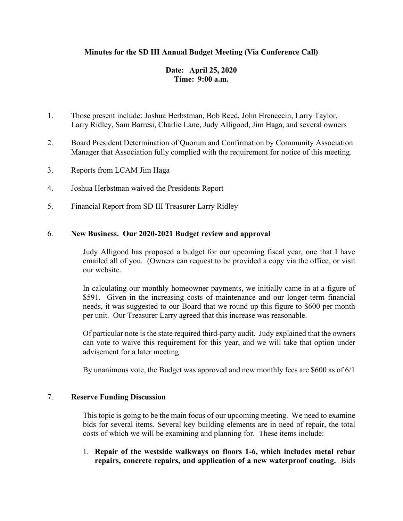## **Minutes for the SD III Annual Budget Meeting (Via Conference Call)**

# **Date: April 25, 2020 Time: 9:00 a.m.**

- 1. Those present include: Joshua Herbstman, Bob Reed, John Hrencecin, Larry Taylor, Larry Ridley, Sam Barresi, Charlie Lane, Judy Alligood, Jim Haga, and several owners
- 2. Board President Determination of Quorum and Confirmation by Community Association Manager that Association fully complied with the requirement for notice of this meeting.
- 3. Reports from LCAM Jim Haga
- 4. Joshua Herbstman waived the Presidents Report
- 5. Financial Report from SD III Treasurer Larry Ridley

## 6. **New Business. Our 2020-2021 Budget review and approval**

Judy Alligood has proposed a budget for our upcoming fiscal year, one that I have emailed all of you. (Owners can request to be provided a copy via the office, or visit our website.

In calculating our monthly homeowner payments, we initially came in at a figure of \$591. Given in the increasing costs of maintenance and our longer-term financial needs, it was suggested to our Board that we round up this figure to \$600 per month per unit. Our Treasurer Larry agreed that this increase was reasonable.

Of particular note is the state required third-party audit. Judy explained that the owners can vote to waive this requirement for this year, and we will take that option under advisement for a later meeting.

By unanimous vote, the Budget was approved and new monthly fees are  $$600$  as of  $6/1$ 

#### 7. **Reserve Funding Discussion**

This topic is going to be the main focus of our upcoming meeting. We need to examine bids for several items. Several key building elements are in need of repair, the total costs of which we will be examining and planning for. These items include:

1. **Repair of the westside walkways on floors 1-6, which includes metal rebar repairs, concrete repairs, and application of a new waterproof coating.** Bids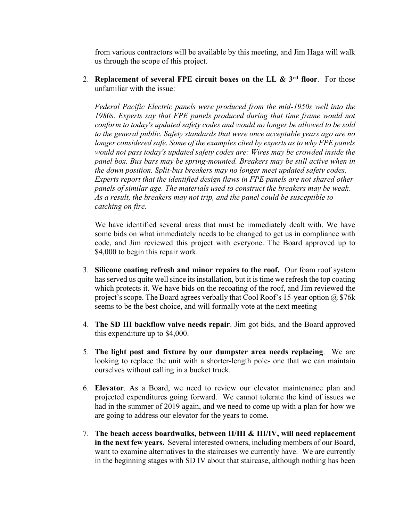from various contractors will be available by this meeting, and Jim Haga will walk us through the scope of this project.

2. **Replacement of several FPE circuit boxes on the LL & 3rd floor**. For those unfamiliar with the issue:

*Federal Pacific Electric panels were produced from the mid-1950s well into the 1980s. Experts say that FPE panels produced during that time frame would not conform to today's updated safety codes and would no longer be allowed to be sold to the general public. Safety standards that were once acceptable years ago are no longer considered safe. Some of the examples cited by experts as to why FPE panels would not pass today's updated safety codes are: Wires may be crowded inside the panel box. Bus bars may be spring-mounted. Breakers may be still active when in the down position. Split-bus breakers may no longer meet updated safety codes. Experts report that the identified design flaws in FPE panels are not shared other panels of similar age. The materials used to construct the breakers may be weak. As a result, the breakers may not trip, and the panel could be susceptible to catching on fire.*

We have identified several areas that must be immediately dealt with. We have some bids on what immediately needs to be changed to get us in compliance with code, and Jim reviewed this project with everyone. The Board approved up to \$4,000 to begin this repair work.

- 3. **Silicone coating refresh and minor repairs to the roof.** Our foam roof system has served us quite well since its installation, but it is time we refresh the top coating which protects it. We have bids on the recoating of the roof, and Jim reviewed the project's scope. The Board agrees verbally that Cool Roof's 15-year option  $\omega$  \$76k seems to be the best choice, and will formally vote at the next meeting
- 4. **The SD III backflow valve needs repair**. Jim got bids, and the Board approved this expenditure up to \$4,000.
- 5. **The light post and fixture by our dumpster area needs replacing**. We are looking to replace the unit with a shorter-length pole- one that we can maintain ourselves without calling in a bucket truck.
- 6. **Elevator**. As a Board, we need to review our elevator maintenance plan and projected expenditures going forward. We cannot tolerate the kind of issues we had in the summer of 2019 again, and we need to come up with a plan for how we are going to address our elevator for the years to come.
- 7. **The beach access boardwalks, between II/III & III/IV, will need replacement in the next few years.** Several interested owners, including members of our Board, want to examine alternatives to the staircases we currently have. We are currently in the beginning stages with SD IV about that staircase, although nothing has been